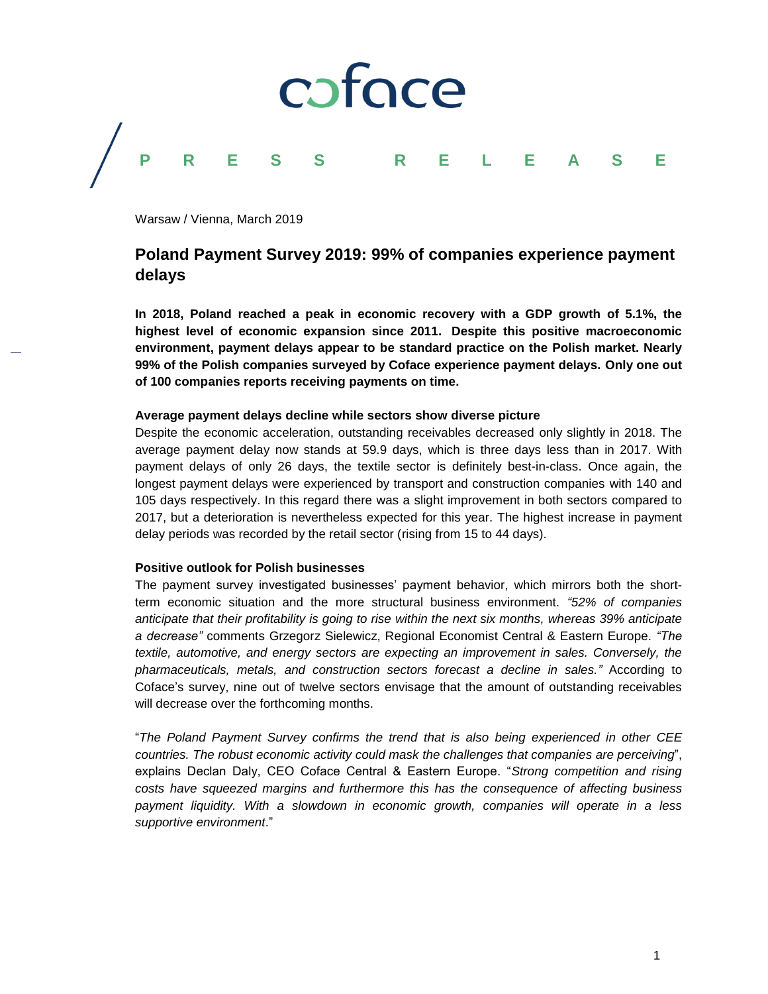

Warsaw / Vienna, March 2019

## **Poland Payment Survey 2019: 99% of companies experience payment delays**

**In 2018, Poland reached a peak in economic recovery with a GDP growth of 5.1%, the highest level of economic expansion since 2011. Despite this positive macroeconomic environment, payment delays appear to be standard practice on the Polish market. Nearly 99% of the Polish companies surveyed by Coface experience payment delays. Only one out of 100 companies reports receiving payments on time.** 

## **Average payment delays decline while sectors show diverse picture**

Despite the economic acceleration, outstanding receivables decreased only slightly in 2018. The average payment delay now stands at 59.9 days, which is three days less than in 2017. With payment delays of only 26 days, the textile sector is definitely best-in-class. Once again, the longest payment delays were experienced by transport and construction companies with 140 and 105 days respectively. In this regard there was a slight improvement in both sectors compared to 2017, but a deterioration is nevertheless expected for this year. The highest increase in payment delay periods was recorded by the retail sector (rising from 15 to 44 days).

## **Positive outlook for Polish businesses**

The payment survey investigated businesses' payment behavior, which mirrors both the shortterm economic situation and the more structural business environment. *"52% of companies anticipate that their profitability is going to rise within the next six months, whereas 39% anticipate a decrease"* comments Grzegorz Sielewicz, Regional Economist Central & Eastern Europe. *"The textile, automotive, and energy sectors are expecting an improvement in sales. Conversely, the pharmaceuticals, metals, and construction sectors forecast a decline in sales."* According to Coface's survey, nine out of twelve sectors envisage that the amount of outstanding receivables will decrease over the forthcoming months.

"*The Poland Payment Survey confirms the trend that is also being experienced in other CEE countries. The robust economic activity could mask the challenges that companies are perceiving*", explains Declan Daly, CEO Coface Central & Eastern Europe. "*Strong competition and rising costs have squeezed margins and furthermore this has the consequence of affecting business payment liquidity. With a slowdown in economic growth, companies will operate in a less supportive environment*."